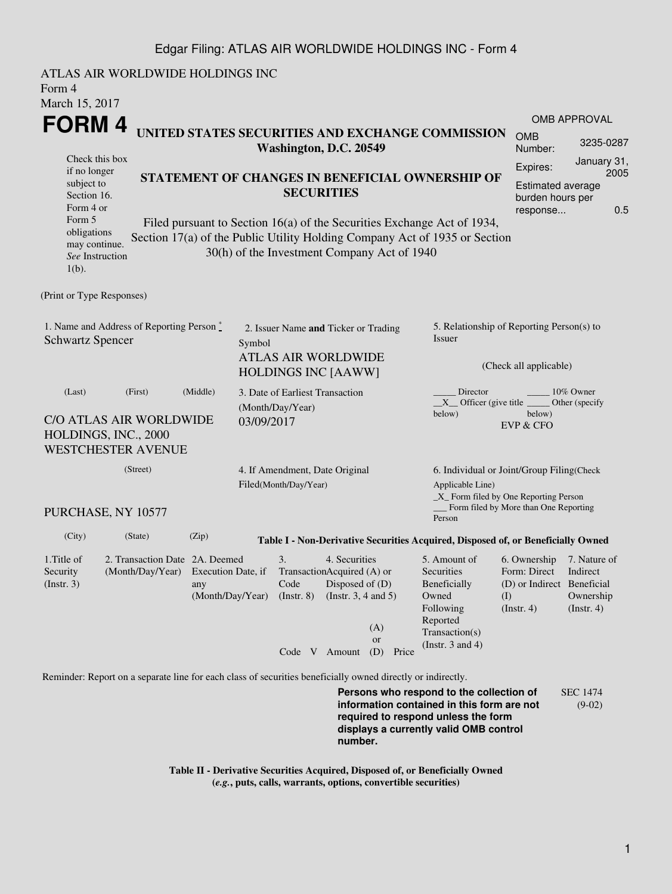## Edgar Filing: ATLAS AIR WORLDWIDE HOLDINGS INC - Form 4

ATLAS AIR WORLDWIDE HOLDINGS INC Form 4 March 15, 2017 **FORM 4** Check this box if no longer subject to Section 16. Form 4 or Form 5 obligations may continue. *See* Instruction 1(b). **UNITED STATES SECURITIES AND EXCHANGE COMMISSION Washington, D.C. 20549 STATEMENT OF CHANGES IN BENEFICIAL OWNERSHIP OF SECURITIES** Filed pursuant to Section 16(a) of the Securities Exchange Act of 1934, Section 17(a) of the Public Utility Holding Company Act of 1935 or Section 30(h) of the Investment Company Act of 1940 OMB APPROVAL OMB Number: 3235-0287 Expires: January 31, 2005 Estimated average burden hours per response... 0.5 (Print or Type Responses) 1. Name and Address of Reporting Person  $\degree$ Schwartz Spencer 2. Issuer Name **and** Ticker or Trading Symbol ATLAS AIR WORLDWIDE HOLDINGS INC [AAWW] 5. Relationship of Reporting Person(s) to Issuer (Check all applicable) Director \_\_\_\_\_\_\_\_ 10% Owner \_\_X\_\_ Officer (give title below) Other (specify below) EVP & CFO (Last) (First) (Middle) C/O ATLAS AIR WORLDWIDE HOLDINGS, INC., 2000 WESTCHESTER AVENUE 3. Date of Earliest Transaction (Month/Day/Year) 03/09/2017 (Street) PURCHASE, NY 10577 4. If Amendment, Date Original Filed(Month/Day/Year) 6. Individual or Joint/Group Filing(Check Applicable Line) \_X\_ Form filed by One Reporting Person Form filed by More than One Reporting Person (City) (State) (Zip) **Table I - Non-Derivative Securities Acquired, Disposed of, or Beneficially Owned** 1.Title of Security (Instr. 3) 2. Transaction Date 2A. Deemed (Month/Day/Year) Execution Date, if any (Month/Day/Year) 3. Transaction Acquired (A) or Code (Instr. 8) 4. Securities Disposed of (D) (Instr. 3, 4 and 5) 5. Amount of Securities Beneficially Owned Following Reported Transaction(s) (Instr. 3 and 4) 6. Ownership 7. Nature of Form: Direct (D) or Indirect Beneficial (I)  $(Insert. 4)$ Indirect Ownership  $(Insert. 4)$ Code V Amount (D) Price (A) or Reminder: Report on a separate line for each class of securities beneficially owned directly or indirectly.

**Persons who respond to the collection of information contained in this form are not required to respond unless the form displays a currently valid OMB control number.** SEC 1474 (9-02)

**Table II - Derivative Securities Acquired, Disposed of, or Beneficially Owned (***e.g.***, puts, calls, warrants, options, convertible securities)**